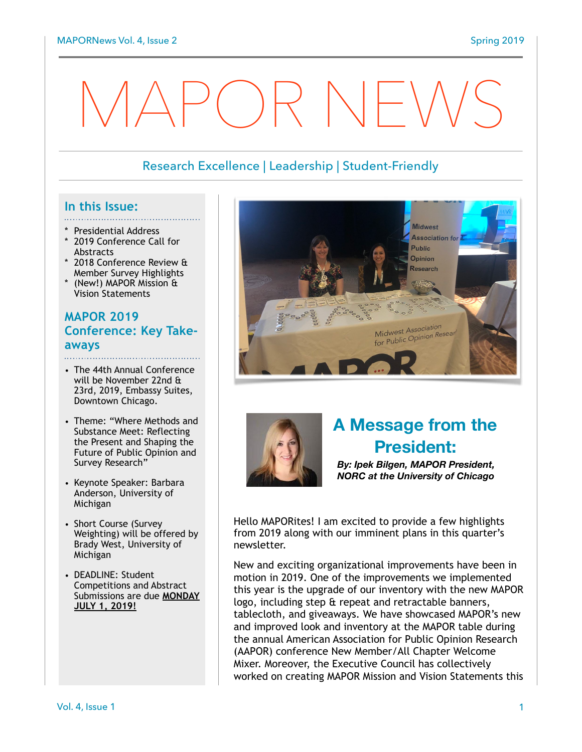# MAPOR NEWS

# Research Excellence | Leadership | Student-Friendly

#### **In this Issue:**

- 
- Presidential Address
- 2019 Conference Call for Abstracts
- 2018 Conference Review & Member Survey Highlights
- (New!) MAPOR Mission & Vision Statements

#### **MAPOR 2019 Conference: Key Takeaways**

- The 44th Annual Conference will be November 22nd & 23rd, 2019, Embassy Suites, Downtown Chicago.
- Theme: "Where Methods and Substance Meet: Reflecting the Present and Shaping the Future of Public Opinion and Survey Research"
- Keynote Speaker: Barbara Anderson, University of Michigan
- Short Course (Survey Weighting) will be offered by Brady West, University of Michigan
- DEADLINE: Student Competitions and Abstract Submissions are due **MONDAY JULY 1, 2019!**





# **A Message from the President:**

*By: Ipek Bilgen, MAPOR President, NORC at the University of Chicago*

Hello MAPORites! I am excited to provide a few highlights from 2019 along with our imminent plans in this quarter's newsletter.

New and exciting organizational improvements have been in motion in 2019. One of the improvements we implemented this year is the upgrade of our inventory with the new MAPOR logo, including step & repeat and retractable banners, tablecloth, and giveaways. We have showcased MAPOR's new and improved look and inventory at the MAPOR table during the annual American Association for Public Opinion Research (AAPOR) conference New Member/All Chapter Welcome Mixer. Moreover, the Executive Council has collectively worked on creating MAPOR Mission and Vision Statements this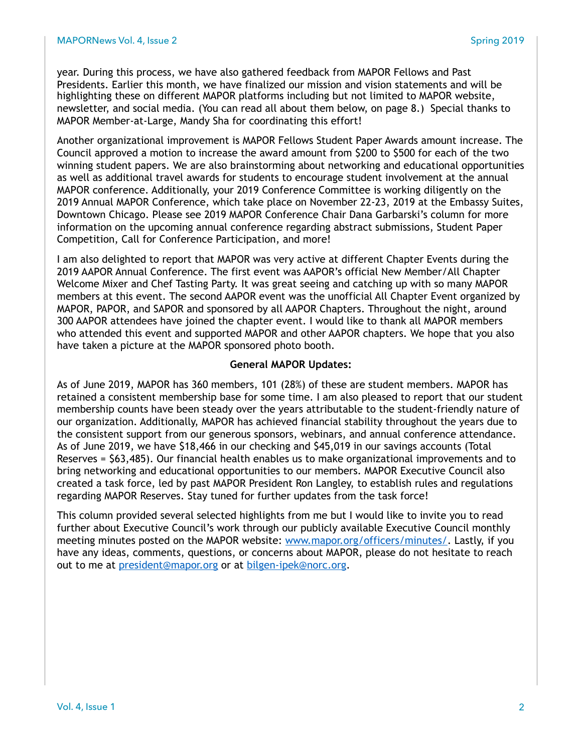year. During this process, we have also gathered feedback from MAPOR Fellows and Past Presidents. Earlier this month, we have finalized our mission and vision statements and will be highlighting these on different MAPOR platforms including but not limited to MAPOR website, newsletter, and social media. (You can read all about them below, on page 8.) Special thanks to MAPOR Member-at-Large, Mandy Sha for coordinating this effort!

Another organizational improvement is MAPOR Fellows Student Paper Awards amount increase. The Council approved a motion to increase the award amount from \$200 to \$500 for each of the two winning student papers. We are also brainstorming about networking and educational opportunities as well as additional travel awards for students to encourage student involvement at the annual MAPOR conference. Additionally, your 2019 Conference Committee is working diligently on the 2019 Annual MAPOR Conference, which take place on November 22-23, 2019 at the Embassy Suites, Downtown Chicago. Please see 2019 MAPOR Conference Chair Dana Garbarski's column for more information on the upcoming annual conference regarding abstract submissions, Student Paper Competition, Call for Conference Participation, and more!

I am also delighted to report that MAPOR was very active at different Chapter Events during the 2019 AAPOR Annual Conference. The first event was AAPOR's official New Member/All Chapter Welcome Mixer and Chef Tasting Party. It was great seeing and catching up with so many MAPOR members at this event. The second AAPOR event was the unofficial All Chapter Event organized by MAPOR, PAPOR, and SAPOR and sponsored by all AAPOR Chapters. Throughout the night, around 300 AAPOR attendees have joined the chapter event. I would like to thank all MAPOR members who attended this event and supported MAPOR and other AAPOR chapters. We hope that you also have taken a picture at the MAPOR sponsored photo booth.

#### **General MAPOR Updates:**

As of June 2019, MAPOR has 360 members, 101 (28%) of these are student members. MAPOR has retained a consistent membership base for some time. I am also pleased to report that our student membership counts have been steady over the years attributable to the student-friendly nature of our organization. Additionally, MAPOR has achieved financial stability throughout the years due to the consistent support from our generous sponsors, webinars, and annual conference attendance. As of June 2019, we have \$18,466 in our checking and \$45,019 in our savings accounts (Total Reserves = \$63,485). Our financial health enables us to make organizational improvements and to bring networking and educational opportunities to our members. MAPOR Executive Council also created a task force, led by past MAPOR President Ron Langley, to establish rules and regulations regarding MAPOR Reserves. Stay tuned for further updates from the task force!

This column provided several selected highlights from me but I would like to invite you to read further about Executive Council's work through our publicly available Executive Council monthly meeting minutes posted on the MAPOR website: [www.mapor.org/officers/minutes/.](http://www.mapor.org/officers/minutes/) Lastly, if you have any ideas, comments, questions, or concerns about MAPOR, please do not hesitate to reach out to me at [president@mapor.org](mailto:president@mapor.org) or at [bilgen-ipek@norc.org.](mailto:bilgen-ipek@norc.org)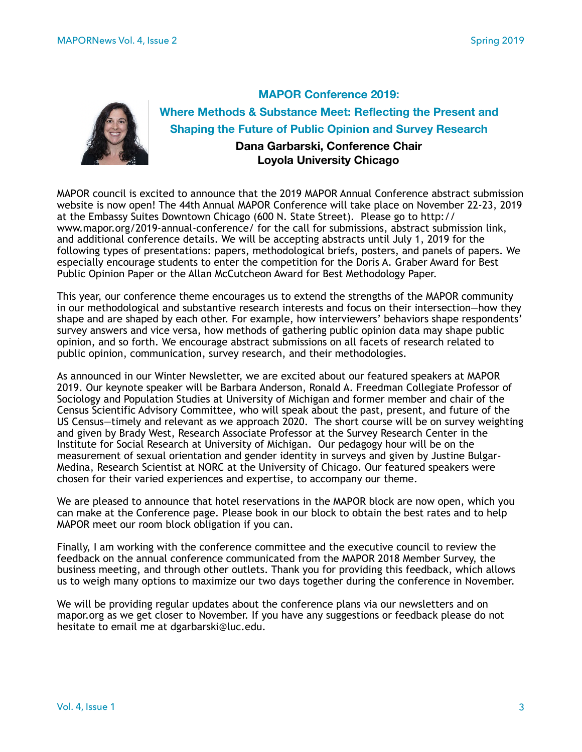

**MAPOR Conference 2019: Where Methods & Substance Meet: Reflecting the Present and Shaping the Future of Public Opinion and Survey Research Dana Garbarski, Conference Chair Loyola University Chicago** 

MAPOR council is excited to announce that the 2019 MAPOR Annual Conference abstract submission website is now open! The 44th Annual MAPOR Conference will take place on November 22-23, 2019 at the Embassy Suites Downtown Chicago (600 N. State Street). Please go to http:// www.mapor.org/2019-annual-conference/ for the call for submissions, abstract submission link, and additional conference details. We will be accepting abstracts until July 1, 2019 for the following types of presentations: papers, methodological briefs, posters, and panels of papers. We especially encourage students to enter the competition for the Doris A. Graber Award for Best Public Opinion Paper or the Allan McCutcheon Award for Best Methodology Paper.

This year, our conference theme encourages us to extend the strengths of the MAPOR community in our methodological and substantive research interests and focus on their intersection—how they shape and are shaped by each other. For example, how interviewers' behaviors shape respondents' survey answers and vice versa, how methods of gathering public opinion data may shape public opinion, and so forth. We encourage abstract submissions on all facets of research related to public opinion, communication, survey research, and their methodologies.

As announced in our Winter Newsletter, we are excited about our featured speakers at MAPOR 2019. Our keynote speaker will be Barbara Anderson, Ronald A. Freedman Collegiate Professor of Sociology and Population Studies at University of Michigan and former member and chair of the Census Scientific Advisory Committee, who will speak about the past, present, and future of the US Census—timely and relevant as we approach 2020. The short course will be on survey weighting and given by Brady West, Research Associate Professor at the Survey Research Center in the Institute for Social Research at University of Michigan. Our pedagogy hour will be on the measurement of sexual orientation and gender identity in surveys and given by Justine Bulgar-Medina, Research Scientist at NORC at the University of Chicago. Our featured speakers were chosen for their varied experiences and expertise, to accompany our theme.

We are pleased to announce that hotel reservations in the MAPOR block are now open, which you can make at the Conference page. Please book in our block to obtain the best rates and to help MAPOR meet our room block obligation if you can.

Finally, I am working with the conference committee and the executive council to review the feedback on the annual conference communicated from the MAPOR 2018 Member Survey, the business meeting, and through other outlets. Thank you for providing this feedback, which allows us to weigh many options to maximize our two days together during the conference in November.

We will be providing regular updates about the conference plans via our newsletters and on mapor.org as we get closer to November. If you have any suggestions or feedback please do not hesitate to email me at dgarbarski@luc.edu.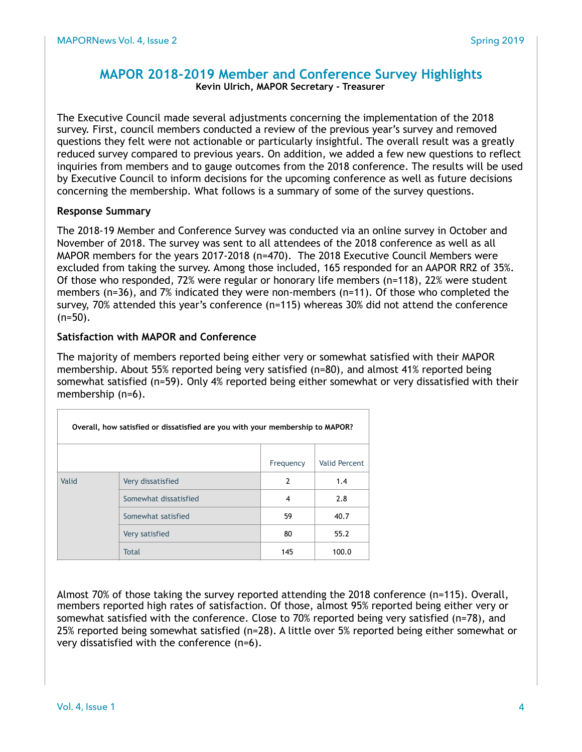#### **MAPOR 2018-2019 Member and Conference Survey Highlights Kevin Ulrich, MAPOR Secretary - Treasurer**

The Executive Council made several adjustments concerning the implementation of the 2018 survey. First, council members conducted a review of the previous year's survey and removed questions they felt were not actionable or particularly insightful. The overall result was a greatly reduced survey compared to previous years. On addition, we added a few new questions to reflect inquiries from members and to gauge outcomes from the 2018 conference. The results will be used by Executive Council to inform decisions for the upcoming conference as well as future decisions concerning the membership. What follows is a summary of some of the survey questions.

#### **Response Summary**

The 2018-19 Member and Conference Survey was conducted via an online survey in October and November of 2018. The survey was sent to all attendees of the 2018 conference as well as all MAPOR members for the years 2017-2018 (n=470). The 2018 Executive Council Members were excluded from taking the survey. Among those included, 165 responded for an AAPOR RR2 of 35%. Of those who responded, 72% were regular or honorary life members (n=118), 22% were student members (n=36), and 7% indicated they were non-members (n=11). Of those who completed the survey, 70% attended this year's conference (n=115) whereas 30% did not attend the conference  $(n=50)$ .

#### **Satisfaction with MAPOR and Conference**

The majority of members reported being either very or somewhat satisfied with their MAPOR membership. About 55% reported being very satisfied (n=80), and almost 41% reported being somewhat satisfied (n=59). Only 4% reported being either somewhat or very dissatisfied with their membership (n=6).

| Overall, how satisfied or dissatisfied are you with your membership to MAPOR? |                       |               |               |  |
|-------------------------------------------------------------------------------|-----------------------|---------------|---------------|--|
|                                                                               |                       | Frequency     | Valid Percent |  |
| Valid                                                                         | Very dissatisfied     | $\mathcal{P}$ | 1.4           |  |
|                                                                               | Somewhat dissatisfied | 4             | 2.8           |  |
|                                                                               | Somewhat satisfied    | 59            | 40.7          |  |
|                                                                               | Very satisfied        | 80            | 55.2          |  |
|                                                                               | <b>Total</b>          | 145           | 100.0         |  |

Almost 70% of those taking the survey reported attending the 2018 conference (n=115). Overall, members reported high rates of satisfaction. Of those, almost 95% reported being either very or somewhat satisfied with the conference. Close to 70% reported being very satisfied (n=78), and 25% reported being somewhat satisfied (n=28). A little over 5% reported being either somewhat or very dissatisfied with the conference (n=6).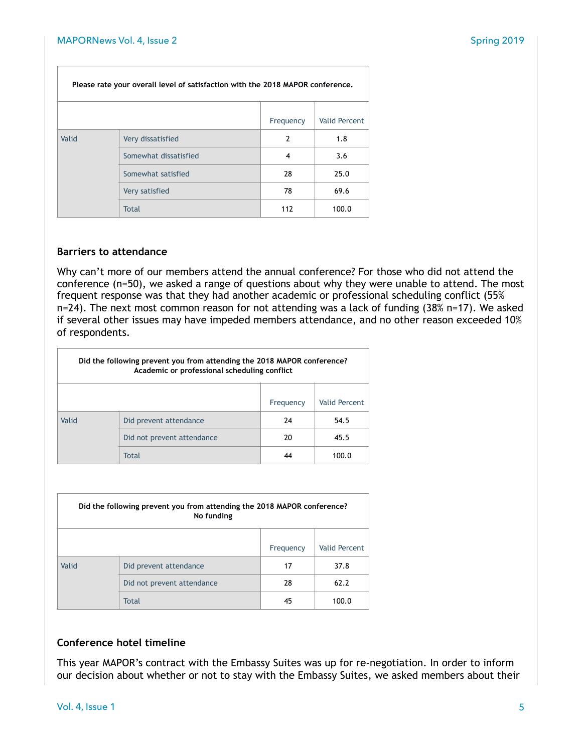| Please rate your overall level of satisfaction with the 2018 MAPOR conference. |                       |           |               |  |
|--------------------------------------------------------------------------------|-----------------------|-----------|---------------|--|
|                                                                                |                       | Frequency | Valid Percent |  |
| Valid                                                                          | Very dissatisfied     | 2         | 1.8           |  |
|                                                                                | Somewhat dissatisfied | 4         | 3.6           |  |
|                                                                                | Somewhat satisfied    | 28        | 25.0          |  |
|                                                                                | Very satisfied        | 78        | 69.6          |  |
|                                                                                | <b>Total</b>          | 112       | 100.0         |  |

#### **Barriers to attendance**

Why can't more of our members attend the annual conference? For those who did not attend the conference (n=50), we asked a range of questions about why they were unable to attend. The most frequent response was that they had another academic or professional scheduling conflict (55% n=24). The next most common reason for not attending was a lack of funding (38% n=17). We asked if several other issues may have impeded members attendance, and no other reason exceeded 10% of respondents.

| Did the following prevent you from attending the 2018 MAPOR conference?<br>Academic or professional scheduling conflict |                            |    |       |  |
|-------------------------------------------------------------------------------------------------------------------------|----------------------------|----|-------|--|
| Valid Percent<br>Frequency                                                                                              |                            |    |       |  |
| Valid                                                                                                                   | Did prevent attendance     | 24 | 54.5  |  |
|                                                                                                                         | Did not prevent attendance | 20 | 45.5  |  |
|                                                                                                                         | <b>Total</b>               | 44 | 100.0 |  |

| Did the following prevent you from attending the 2018 MAPOR conference?<br>No funding |                            |           |               |  |
|---------------------------------------------------------------------------------------|----------------------------|-----------|---------------|--|
|                                                                                       |                            | Frequency | Valid Percent |  |
| Valid                                                                                 | Did prevent attendance     | 17        | 37.8          |  |
|                                                                                       | Did not prevent attendance | 28        | 62.2          |  |
|                                                                                       | Total                      | 45        | 100.0         |  |

#### **Conference hotel timeline**

This year MAPOR's contract with the Embassy Suites was up for re-negotiation. In order to inform our decision about whether or not to stay with the Embassy Suites, we asked members about their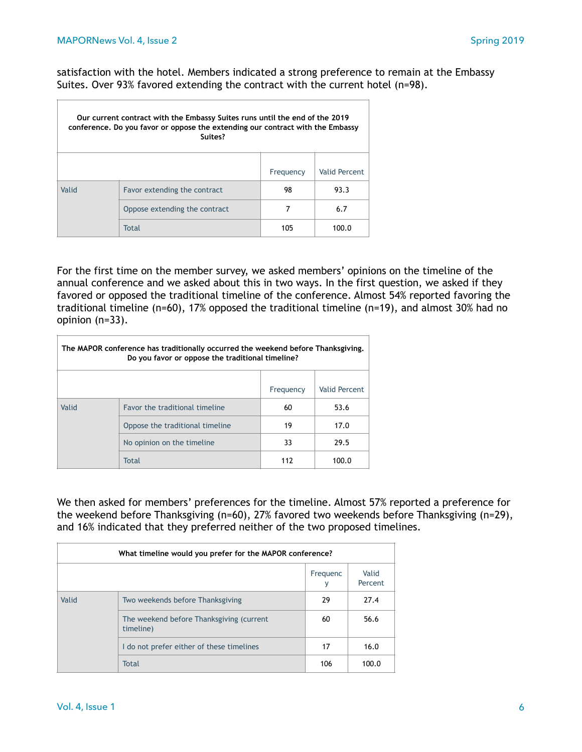$\overline{\Gamma}$ 

satisfaction with the hotel. Members indicated a strong preference to remain at the Embassy Suites. Over 93% favored extending the contract with the current hotel (n=98).

| Our current contract with the Embassy Suites runs until the end of the 2019<br>conference. Do you favor or oppose the extending our contract with the Embassy<br>Suites? |                               |           |               |  |  |
|--------------------------------------------------------------------------------------------------------------------------------------------------------------------------|-------------------------------|-----------|---------------|--|--|
|                                                                                                                                                                          |                               | Frequency | Valid Percent |  |  |
| Valid                                                                                                                                                                    | Favor extending the contract  | 98        | 93.3          |  |  |
|                                                                                                                                                                          | Oppose extending the contract | 7         | 6.7           |  |  |
|                                                                                                                                                                          | Total                         | 105       | 100.0         |  |  |

For the first time on the member survey, we asked members' opinions on the timeline of the annual conference and we asked about this in two ways. In the first question, we asked if they favored or opposed the traditional timeline of the conference. Almost 54% reported favoring the traditional timeline (n=60), 17% opposed the traditional timeline (n=19), and almost 30% had no opinion (n=33).

| The MAPOR conference has traditionally occurred the weekend before Thanksgiving.<br>Do you favor or oppose the traditional timeline? |                                 |           |                      |  |
|--------------------------------------------------------------------------------------------------------------------------------------|---------------------------------|-----------|----------------------|--|
|                                                                                                                                      |                                 | Frequency | <b>Valid Percent</b> |  |
| Valid                                                                                                                                | Favor the traditional timeline  | 60        | 53.6                 |  |
|                                                                                                                                      | Oppose the traditional timeline | 19        | 17.0                 |  |
|                                                                                                                                      | No opinion on the timeline      | 33        | 29.5                 |  |
|                                                                                                                                      | Total                           | 112       | 100.0                |  |

We then asked for members' preferences for the timeline. Almost 57% reported a preference for the weekend before Thanksgiving (n=60), 27% favored two weekends before Thanksgiving (n=29), and 16% indicated that they preferred neither of the two proposed timelines.

| What timeline would you prefer for the MAPOR conference? |                                                       |     |       |  |
|----------------------------------------------------------|-------------------------------------------------------|-----|-------|--|
| Valid<br>Frequenc<br>Percent<br>٧                        |                                                       |     |       |  |
| Valid                                                    | Two weekends before Thanksgiving                      | 29  | 27.4  |  |
|                                                          | The weekend before Thanksgiving (current<br>timeline) | 60  | 56.6  |  |
|                                                          | I do not prefer either of these timelines             | 17  | 16.0  |  |
|                                                          | <b>Total</b>                                          | 106 | 100.0 |  |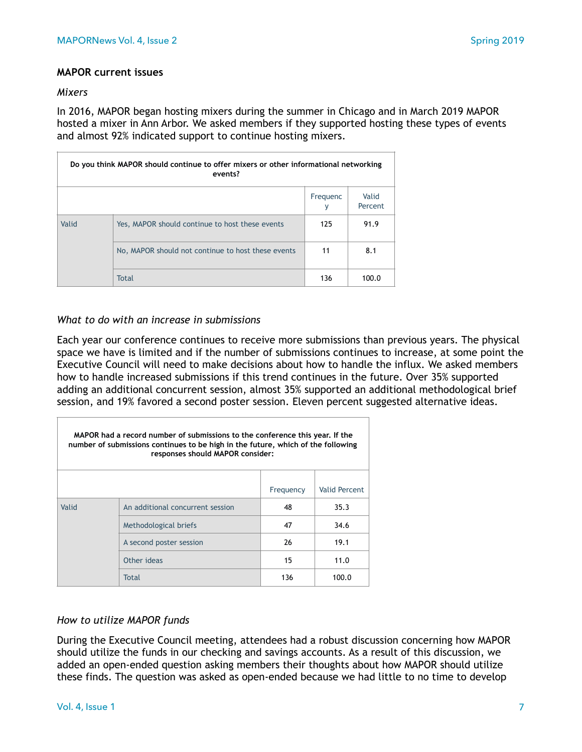#### **MAPOR current issues**

#### *Mixers*

Ē

In 2016, MAPOR began hosting mixers during the summer in Chicago and in March 2019 MAPOR hosted a mixer in Ann Arbor. We asked members if they supported hosting these types of events and almost 92% indicated support to continue hosting mixers.

| Do you think MAPOR should continue to offer mixers or other informational networking<br>events? |                                                    |               |                  |  |
|-------------------------------------------------------------------------------------------------|----------------------------------------------------|---------------|------------------|--|
|                                                                                                 |                                                    | Frequenc<br>٧ | Valid<br>Percent |  |
| Valid                                                                                           | Yes, MAPOR should continue to host these events    | 125           | 91.9             |  |
|                                                                                                 | No, MAPOR should not continue to host these events | 11            | 8.1              |  |
|                                                                                                 | <b>Total</b>                                       | 136           | 100.0            |  |

#### *What to do with an increase in submissions*

Each year our conference continues to receive more submissions than previous years. The physical space we have is limited and if the number of submissions continues to increase, at some point the Executive Council will need to make decisions about how to handle the influx. We asked members how to handle increased submissions if this trend continues in the future. Over 35% supported adding an additional concurrent session, almost 35% supported an additional methodological brief session, and 19% favored a second poster session. Eleven percent suggested alternative ideas.

| MAPOR had a record number of submissions to the conference this year. If the<br>number of submissions continues to be high in the future, which of the following<br>responses should MAPOR consider: |                                  |           |                      |  |  |  |
|------------------------------------------------------------------------------------------------------------------------------------------------------------------------------------------------------|----------------------------------|-----------|----------------------|--|--|--|
|                                                                                                                                                                                                      |                                  | Frequency | <b>Valid Percent</b> |  |  |  |
| Valid                                                                                                                                                                                                | An additional concurrent session | 48        | 35.3                 |  |  |  |
|                                                                                                                                                                                                      | Methodological briefs            | 47        | 34.6                 |  |  |  |
|                                                                                                                                                                                                      | A second poster session          | 26        | 19.1                 |  |  |  |
|                                                                                                                                                                                                      | Other ideas                      | 15        | 11.0                 |  |  |  |
| Total<br>136<br>100.0                                                                                                                                                                                |                                  |           |                      |  |  |  |

#### *How to utilize MAPOR funds*

During the Executive Council meeting, attendees had a robust discussion concerning how MAPOR should utilize the funds in our checking and savings accounts. As a result of this discussion, we added an open-ended question asking members their thoughts about how MAPOR should utilize these finds. The question was asked as open-ended because we had little to no time to develop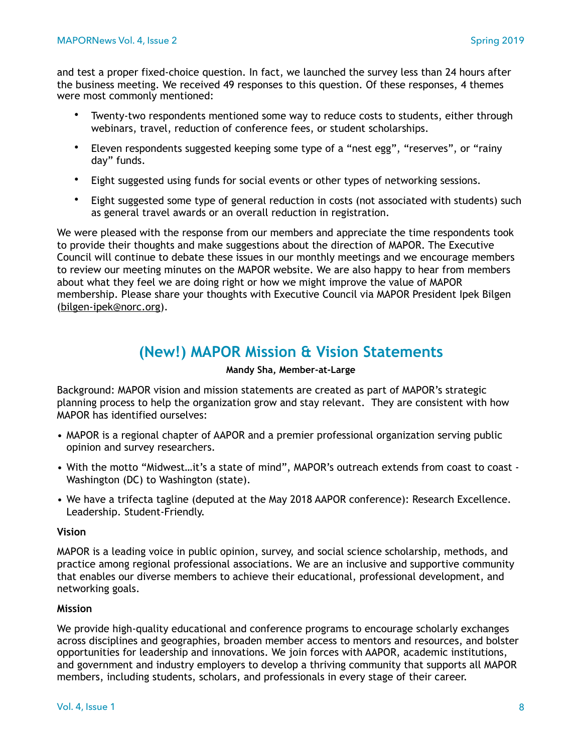and test a proper fixed-choice question. In fact, we launched the survey less than 24 hours after the business meeting. We received 49 responses to this question. Of these responses, 4 themes were most commonly mentioned:

- Twenty-two respondents mentioned some way to reduce costs to students, either through webinars, travel, reduction of conference fees, or student scholarships.
- Eleven respondents suggested keeping some type of a "nest egg", "reserves", or "rainy day" funds.
- Eight suggested using funds for social events or other types of networking sessions.
- Eight suggested some type of general reduction in costs (not associated with students) such as general travel awards or an overall reduction in registration.

We were pleased with the response from our members and appreciate the time respondents took to provide their thoughts and make suggestions about the direction of MAPOR. The Executive Council will continue to debate these issues in our monthly meetings and we encourage members to review our meeting minutes on the MAPOR website. We are also happy to hear from members about what they feel we are doing right or how we might improve the value of MAPOR membership. Please share your thoughts with Executive Council via MAPOR President Ipek Bilgen [\(bilgen-ipek@norc.org\)](mailto:bilgen-ipek@norc.org).

# **(New!) MAPOR Mission & Vision Statements**

#### **Mandy Sha, Member-at-Large**

Background: MAPOR vision and mission statements are created as part of MAPOR's strategic planning process to help the organization grow and stay relevant. They are consistent with how MAPOR has identified ourselves:

- MAPOR is a regional chapter of AAPOR and a premier professional organization serving public opinion and survey researchers.
- With the motto "Midwest…it's a state of mind", MAPOR's outreach extends from coast to coast Washington (DC) to Washington (state).
- We have a trifecta tagline (deputed at the May 2018 AAPOR conference): Research Excellence. Leadership. Student-Friendly.

#### **Vision**

MAPOR is a leading voice in public opinion, survey, and social science scholarship, methods, and practice among regional professional associations. We are an inclusive and supportive community that enables our diverse members to achieve their educational, professional development, and networking goals.

#### **Mission**

We provide high-quality educational and conference programs to encourage scholarly exchanges across disciplines and geographies, broaden member access to mentors and resources, and bolster opportunities for leadership and innovations. We join forces with AAPOR, academic institutions, and government and industry employers to develop a thriving community that supports all MAPOR members, including students, scholars, and professionals in every stage of their career.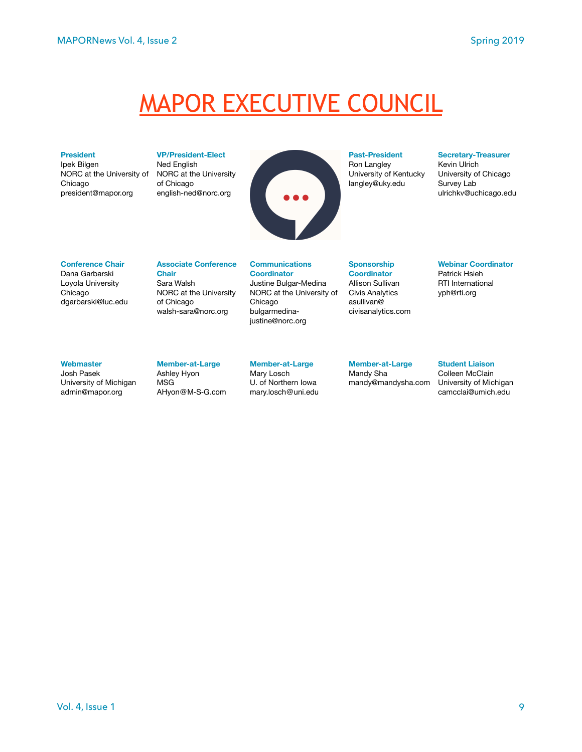# MAPOR EXECUTIVE COUNCIL

#### **President**

Ipek Bilgen NORC at the University of Chicago president@mapor.org

**VP/President-Elect**  Ned English NORC at the University of Chicago english-ned@norc.org



#### **Past-President**

Ron Langley University of Kentucky langley@uky.edu

#### **Secretary-Treasurer**

Kevin Ulrich University of Chicago Survey Lab [ulrichkv@uchicago.edu](mailto:ulrichkv@uchicago.edu)

#### **Conference Chair**

Dana Garbarski Loyola University Chicago [dgarbarski@luc.edu](mailto:dgarbarski@luc.edu)

#### **Associate Conference Chair**  Sara Walsh

NORC at the University of Chicago [walsh-sara@norc.org](mailto:walsh-sara@norc.org)

#### **Communications Coordinator**  Justine Bulgar-Medina NORC at the University of Chicago bulgarmedina[justine@norc.org](mailto:bulgarmedina-justine@norc.org)

**Sponsorship Coordinator** 

Allison Sullivan Civis Analytics asullivan@ civisanalytics.com **Webinar Coordinator**  Patrick Hsieh RTI International [yph@rti.org](mailto:yph@rti.org)

#### **Webmaster**

Josh Pasek University of Michigan [admin@mapor.org](mailto:admin@mapor.org) 

#### **Member-at-Large**  Ashley Hyon

MSG [AHyon@M-S-G.com](mailto:AHyon@M-S-G.com)

#### **Member-at-Large**

Mary Losch U. of Northern Iowa [mary.losch@uni.edu](mailto:mary.losch@uni.edu)

#### **Member-at-Large**  Mandy Sha

mandy@mandysha.com

#### **Student Liaison**  Colleen McClain University of Michigan camcclai@umich.edu

Vol. 4, Issue 1 9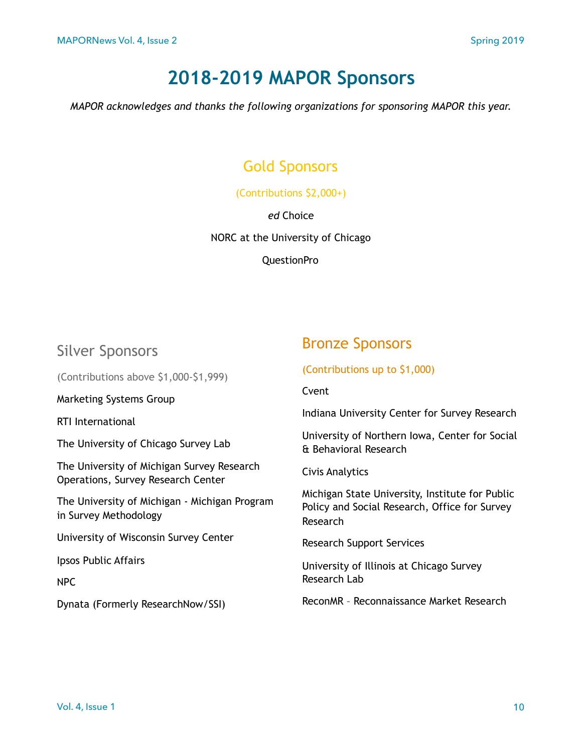# **2018-2019 MAPOR Sponsors**

*MAPOR acknowledges and thanks the following organizations for sponsoring MAPOR this year.* 

# Gold Sponsors

#### (Contributions \$2,000+)

#### *ed* Choice

NORC at the University of Chicago

QuestionPro

# Silver Sponsors

(Contributions above \$1,000-\$1,999)

Marketing Systems Group

RTI International

The University of Chicago Survey Lab

The University of Michigan Survey Research Operations, Survey Research Center

The University of Michigan - Michigan Program in Survey Methodology

University of Wisconsin Survey Center

Ipsos Public Affairs

NPC

Dynata (Formerly ResearchNow/SSI)

# Bronze Sponsors

(Contributions up to \$1,000)

Cvent

Indiana University Center for Survey Research

University of Northern Iowa, Center for Social & Behavioral Research

Civis Analytics

Michigan State University, Institute for Public Policy and Social Research, Office for Survey Research

Research Support Services

University of Illinois at Chicago Survey Research Lab

ReconMR – Reconnaissance Market Research